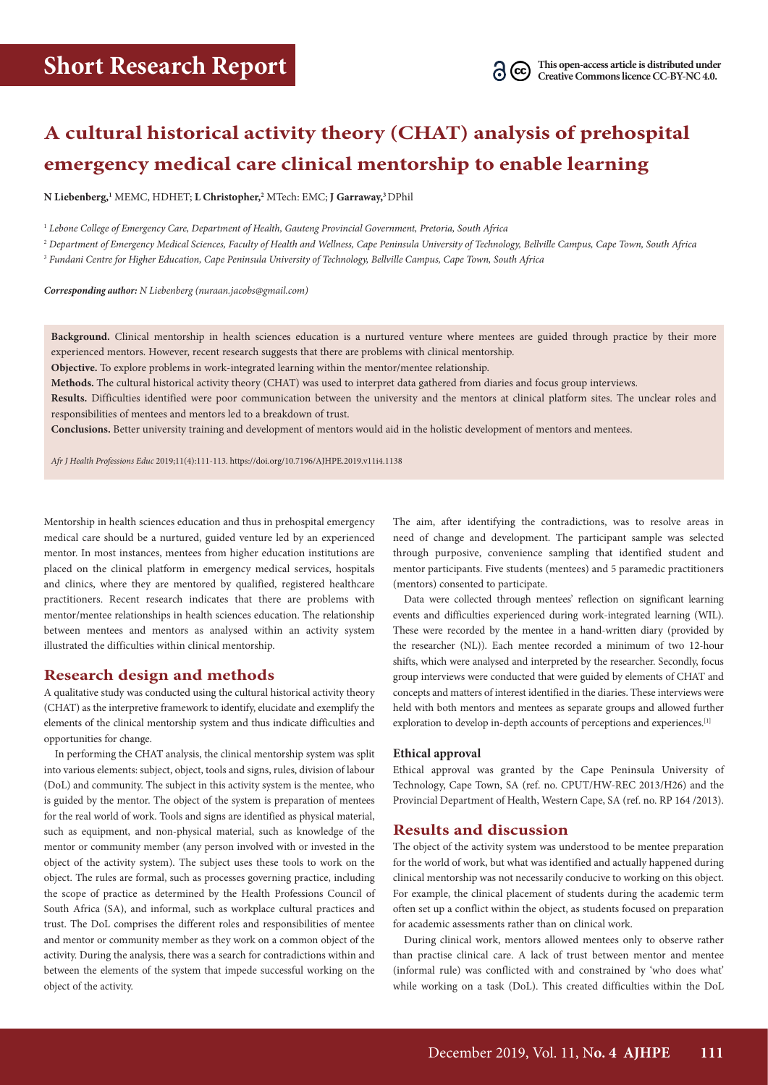## **A cultural historical activity theory (CHAT) analysis of prehospital emergency medical care clinical mentorship to enable learning**

**N Liebenberg,1** MEMC, HDHET; **L Christopher,2** MTech: EMC; **J Garraway,3** DPhil

1  *Lebone College of Emergency Care, Department of Health, Gauteng Provincial Government, Pretoria, South Africa* 

<sup>2</sup> *Department of Emergency Medical Sciences, Faculty of Health and Wellness, Cape Peninsula University of Technology, Bellville Campus, Cape Town, South Africa* 3  *Fundani Centre for Higher Education, Cape Peninsula University of Technology, Bellville Campus, Cape Town, South Africa* 

*Corresponding author: N Liebenberg (nuraan.jacobs@gmail.com)*

Background. Clinical mentorship in health sciences education is a nurtured venture where mentees are guided through practice by their more experienced mentors. However, recent research suggests that there are problems with clinical mentorship.

**Objective.** To explore problems in work-integrated learning within the mentor/mentee relationship.

**Methods.** The cultural historical activity theory (CHAT) was used to interpret data gathered from diaries and focus group interviews.

**Results.** Difficulties identified were poor communication between the university and the mentors at clinical platform sites. The unclear roles and responsibilities of mentees and mentors led to a breakdown of trust.

**Conclusions.** Better university training and development of mentors would aid in the holistic development of mentors and mentees.

*Afr J Health Professions Educ* 2019;11(4):111-113. https://doi.org/10.7196/AJHPE.2019.v11i4.1138

Mentorship in health sciences education and thus in prehospital emergency medical care should be a nurtured, guided venture led by an experienced mentor. In most instances, mentees from higher education institutions are placed on the clinical platform in emergency medical services, hospitals and clinics, where they are mentored by qualified, registered healthcare practitioners. Recent research indicates that there are problems with mentor/mentee relationships in health sciences education. The relationship between mentees and mentors as analysed within an activity system illustrated the difficulties within clinical mentorship.

#### **Research design and methods**

A qualitative study was conducted using the cultural historical activity theory (CHAT) as the interpretive framework to identify, elucidate and exemplify the elements of the clinical mentorship system and thus indicate difficulties and opportunities for change.

In performing the CHAT analysis, the clinical mentorship system was split into various elements: subject, object, tools and signs, rules, division of labour (DoL) and community. The subject in this activity system is the mentee, who is guided by the mentor. The object of the system is preparation of mentees for the real world of work. Tools and signs are identified as physical material, such as equipment, and non-physical material, such as knowledge of the mentor or community member (any person involved with or invested in the object of the activity system). The subject uses these tools to work on the object. The rules are formal, such as processes governing practice, including the scope of practice as determined by the Health Professions Council of South Africa (SA), and informal, such as workplace cultural practices and trust. The DoL comprises the different roles and responsibilities of mentee and mentor or community member as they work on a common object of the activity. During the analysis, there was a search for contradictions within and between the elements of the system that impede successful working on the object of the activity.

The aim, after identifying the contradictions, was to resolve areas in need of change and development. The participant sample was selected through purposive, convenience sampling that identified student and mentor participants. Five students (mentees) and 5 paramedic practitioners (mentors) consented to participate.

Data were collected through mentees' reflection on significant learning events and difficulties experienced during work-integrated learning (WIL). These were recorded by the mentee in a hand-written diary (provided by the researcher (NL)). Each mentee recorded a minimum of two 12-hour shifts, which were analysed and interpreted by the researcher. Secondly, focus group interviews were conducted that were guided by elements of CHAT and concepts and matters of interest identified in the diaries. These interviews were held with both mentors and mentees as separate groups and allowed further exploration to develop in-depth accounts of perceptions and experiences.[1]

#### **Ethical approval**

Ethical approval was granted by the Cape Peninsula University of Technology, Cape Town, SA (ref. no. CPUT/HW-REC 2013/H26) and the Provincial Department of Health, Western Cape, SA (ref. no. RP 164 /2013).

#### **Results and discussion**

The object of the activity system was understood to be mentee preparation for the world of work, but what was identified and actually happened during clinical mentorship was not necessarily conducive to working on this object. For example, the clinical placement of students during the academic term often set up a conflict within the object, as students focused on preparation for academic assessments rather than on clinical work.

During clinical work, mentors allowed mentees only to observe rather than practise clinical care. A lack of trust between mentor and mentee (informal rule) was conflicted with and constrained by 'who does what' while working on a task (DoL). This created difficulties within the DoL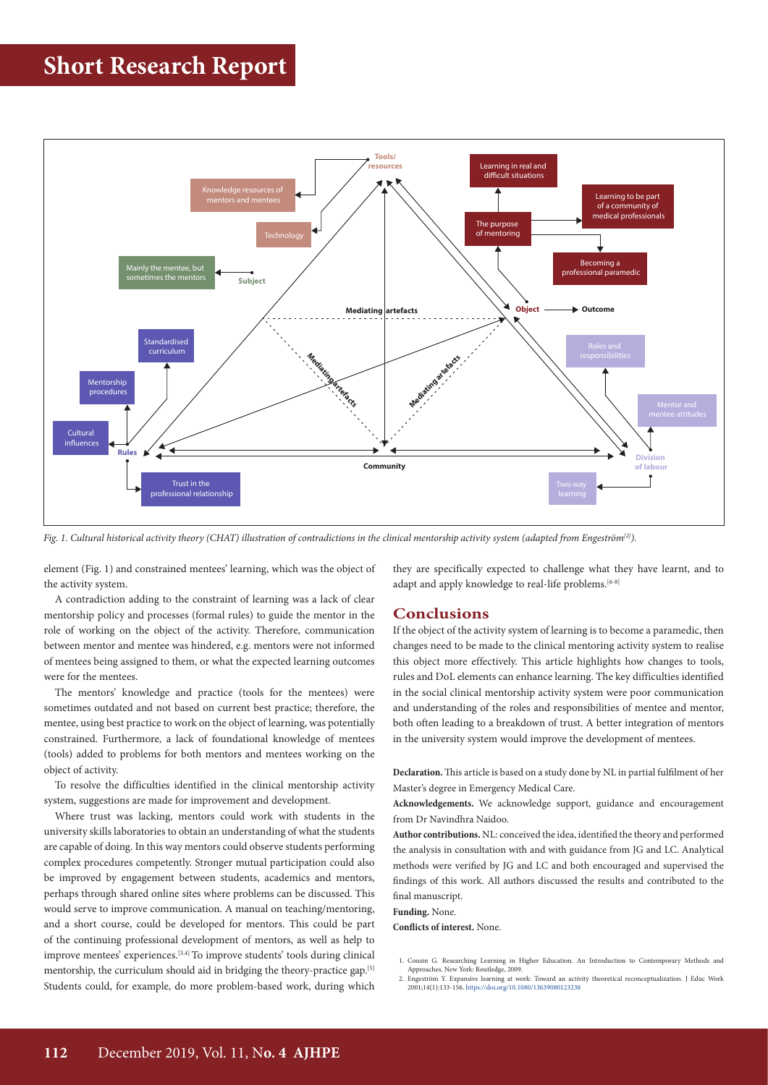

*Fig. 1. Cultural historical activity theory (CHAT) illustration of contradictions in the clinical mentorship activity system (adapted from Engeström[2]).*

element (Fig. 1) and constrained mentees' learning, which was the object of the activity system.

A contradiction adding to the constraint of learning was a lack of clear mentorship policy and processes (formal rules) to guide the mentor in the role of working on the object of the activity. Therefore, communication between mentor and mentee was hindered, e.g. mentors were not informed of mentees being assigned to them, or what the expected learning outcomes were for the mentees.

The mentors' knowledge and practice (tools for the mentees) were sometimes outdated and not based on current best practice; therefore, the mentee, using best practice to work on the object of learning, was potentially constrained. Furthermore, a lack of foundational knowledge of mentees (tools) added to problems for both mentors and mentees working on the object of activity.

To resolve the difficulties identified in the clinical mentorship activity system, suggestions are made for improvement and development.

Where trust was lacking, mentors could work with students in the university skills laboratories to obtain an understanding of what the students are capable of doing. In this way mentors could observe students performing complex procedures competently. Stronger mutual participation could also be improved by engagement between students, academics and mentors, perhaps through shared online sites where problems can be discussed. This would serve to improve communication. A manual on teaching/mentoring, and a short course, could be developed for mentors. This could be part of the continuing professional development of mentors, as well as help to improve mentees' experiences.[3,4] To improve students' tools during clinical mentorship, the curriculum should aid in bridging the theory-practice gap.[5] Students could, for example, do more problem-based work, during which

they are specifically expected to challenge what they have learnt, and to adapt and apply knowledge to real-life problems.<sup>[6-8]</sup>

### **Conclusions**

If the object of the activity system of learning is to become a paramedic, then changes need to be made to the clinical mentoring activity system to realise this object more effectively. This article highlights how changes to tools, rules and DoL elements can enhance learning. The key difficulties identified in the social clinical mentorship activity system were poor communication and understanding of the roles and responsibilities of mentee and mentor, both often leading to a breakdown of trust. A better integration of mentors in the university system would improve the development of mentees.

**Declaration.** This article is based on a study done by NL in partial fulfilment of her Master's degree in Emergency Medical Care.

**Acknowledgements.** We acknowledge support, guidance and encouragement from Dr Navindhra Naidoo.

**Author contributions.** NL: conceived the idea, identified the theory and performed the analysis in consultation with and with guidance from JG and LC. Analytical methods were verified by JG and LC and both encouraged and supervised the findings of this work. All authors discussed the results and contributed to the final manuscript.

#### **Funding.** None.

**Conflicts of interest.** None.

2. Engeström Y. Expansive learning at work: Toward an activity theoretical reconceptualization. J Educ Work 2001;14(1):133-156.<https://doi.org/10.1080/13639080123238>

<sup>1.</sup> Cousin G. Researching Learning in Higher Education. An Introduction to Contemporary Methods and Approaches. New York: Routledge, 2009.